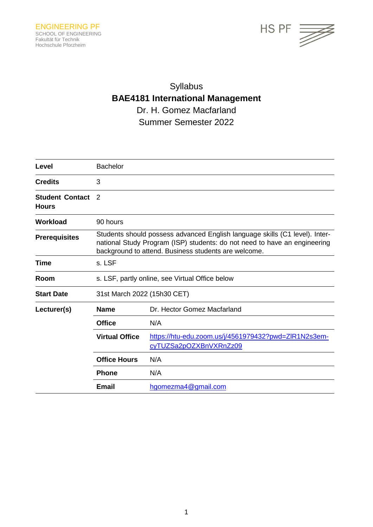

# Syllabus **BAE4181 International Management** Dr. H. Gomez Macfarland Summer Semester 2022

| Level                                  | <b>Bachelor</b>                                                                                                                                                                                                  |                                                                                |  |
|----------------------------------------|------------------------------------------------------------------------------------------------------------------------------------------------------------------------------------------------------------------|--------------------------------------------------------------------------------|--|
| <b>Credits</b>                         | 3                                                                                                                                                                                                                |                                                                                |  |
| <b>Student Contact</b><br><b>Hours</b> | 2                                                                                                                                                                                                                |                                                                                |  |
| <b>Workload</b>                        | 90 hours                                                                                                                                                                                                         |                                                                                |  |
| <b>Prerequisites</b>                   | Students should possess advanced English language skills (C1 level). Inter-<br>national Study Program (ISP) students: do not need to have an engineering<br>background to attend. Business students are welcome. |                                                                                |  |
| Time                                   | s. LSF                                                                                                                                                                                                           |                                                                                |  |
| Room                                   | s. LSF, partly online, see Virtual Office below                                                                                                                                                                  |                                                                                |  |
| <b>Start Date</b>                      | 31st March 2022 (15h30 CET)                                                                                                                                                                                      |                                                                                |  |
| Lecturer(s)                            | <b>Name</b>                                                                                                                                                                                                      | Dr. Hector Gomez Macfarland                                                    |  |
|                                        | <b>Office</b>                                                                                                                                                                                                    | N/A                                                                            |  |
|                                        | <b>Virtual Office</b>                                                                                                                                                                                            | https://htu-edu.zoom.us/j/4561979432?pwd=ZIR1N2s3em-<br>cyTUZSa2pOZXBnVXRnZz09 |  |
|                                        | <b>Office Hours</b>                                                                                                                                                                                              | N/A                                                                            |  |
|                                        | <b>Phone</b>                                                                                                                                                                                                     | N/A                                                                            |  |
|                                        | <b>Email</b>                                                                                                                                                                                                     | hgomezma4@gmail.com                                                            |  |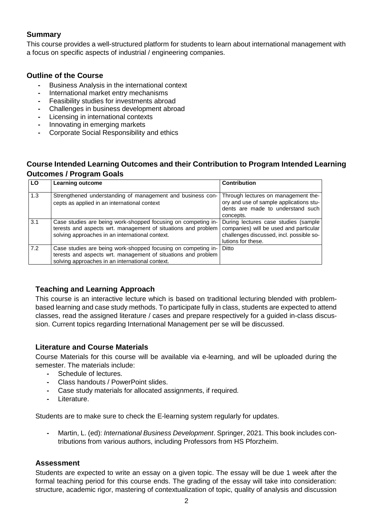## **Summary**

This course provides a well-structured platform for students to learn about international management with a focus on specific aspects of industrial / engineering companies.

#### **Outline of the Course**

- **-** Business Analysis in the international context
- **-** International market entry mechanisms
- **-** Feasibility studies for investments abroad
- **-** Challenges in business development abroad
- **-** Licensing in international contexts
- **-** Innovating in emerging markets
- **-** Corporate Social Responsibility and ethics

## **Course Intended Learning Outcomes and their Contribution to Program Intended Learning Outcomes / Program Goals**

| LO  | <b>Learning outcome</b>                                                                                                                                                           | <b>Contribution</b>                                                                                                                              |
|-----|-----------------------------------------------------------------------------------------------------------------------------------------------------------------------------------|--------------------------------------------------------------------------------------------------------------------------------------------------|
| 1.3 | Strengthened understanding of management and business con-<br>cepts as applied in an international context                                                                        | Through lectures on management the-<br>ory and use of sample applications stu-<br>dents are made to understand such<br>concepts.                 |
| 3.1 | Case studies are being work-shopped focusing on competing in-<br>terests and aspects wrt. management of situations and problem<br>solving approaches in an international context. | During lectures case studies (sample<br>companies) will be used and particular<br>challenges discussed, incl. possible so-<br>lutions for these. |
| 7.2 | Case studies are being work-shopped focusing on competing in-<br>terests and aspects wrt. management of situations and problem<br>solving approaches in an international context. | Ditto                                                                                                                                            |

### **Teaching and Learning Approach**

This course is an interactive lecture which is based on traditional lecturing blended with problembased learning and case study methods. To participate fully in class, students are expected to attend classes, read the assigned literature / cases and prepare respectively for a guided in-class discussion. Current topics regarding International Management per se will be discussed.

### **Literature and Course Materials**

Course Materials for this course will be available via e-learning, and will be uploaded during the semester. The materials include:

- **-** Schedule of lectures.
- **-** Class handouts / PowerPoint slides.
- **-** Case study materials for allocated assignments, if required.
- **-** Literature.

Students are to make sure to check the E-learning system regularly for updates.

**-** Martin, L. (ed): *International Business Development*. Springer, 2021. This book includes contributions from various authors, including Professors from HS Pforzheim.

#### **Assessment**

Students are expected to write an essay on a given topic. The essay will be due 1 week after the formal teaching period for this course ends. The grading of the essay will take into consideration: structure, academic rigor, mastering of contextualization of topic, quality of analysis and discussion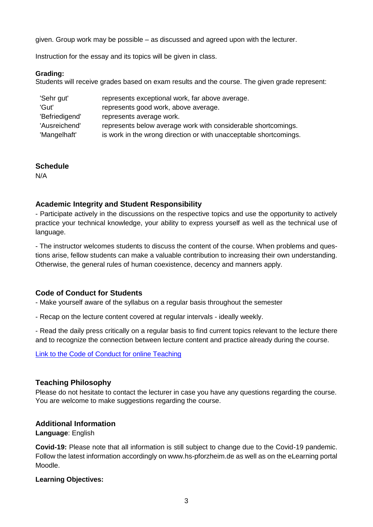given. Group work may be possible – as discussed and agreed upon with the lecturer.

Instruction for the essay and its topics will be given in class.

#### **Grading:**

Students will receive grades based on exam results and the course. The given grade represent:

| 'Sehr gut'     | represents exceptional work, far above average.                   |  |
|----------------|-------------------------------------------------------------------|--|
| 'Gut'          | represents good work, above average.                              |  |
| 'Befriedigend' | represents average work.                                          |  |
| 'Ausreichend'  | represents below average work with considerable shortcomings.     |  |
| 'Mangelhaft'   | is work in the wrong direction or with unacceptable shortcomings. |  |

### **Schedule**

N/A

## **Academic Integrity and Student Responsibility**

- Participate actively in the discussions on the respective topics and use the opportunity to actively practice your technical knowledge, your ability to express yourself as well as the technical use of language.

- The instructor welcomes students to discuss the content of the course. When problems and questions arise, fellow students can make a valuable contribution to increasing their own understanding. Otherwise, the general rules of human coexistence, decency and manners apply.

## **Code of Conduct for Students**

- Make yourself aware of the syllabus on a regular basis throughout the semester

- Recap on the lecture content covered at regular intervals - ideally weekly.

- Read the daily press critically on a regular basis to find current topics relevant to the lecture there and to recognize the connection between lecture content and practice already during the course.

[Link to the Code of Conduct for online Teaching](https://e-campus.hs-pforzheim.de/business_pf/digital_learning_tools_links)

### **Teaching Philosophy**

Please do not hesitate to contact the lecturer in case you have any questions regarding the course. You are welcome to make suggestions regarding the course.

### **Additional Information**

**Language**: English

**Covid-19:** Please note that all information is still subject to change due to the Covid-19 pandemic. Follow the latest information accordingly on www.hs-pforzheim.de as well as on the eLearning portal Moodle.

### **Learning Objectives:**